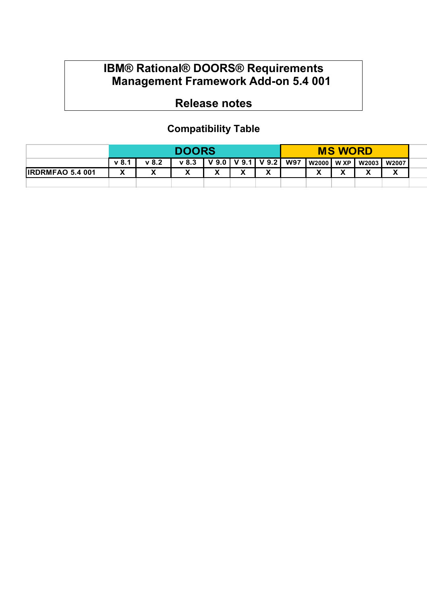## **IBM® Rational® DOORS® Requirements Management Framework Add-on 5.4 001**

## **Release notes**

## **Compatibility Table**

|                         | <b>DOORS</b>      |       |         |                     | <b>MS WORD</b> |                 |            |              |   |         |                          |  |
|-------------------------|-------------------|-------|---------|---------------------|----------------|-----------------|------------|--------------|---|---------|--------------------------|--|
|                         | v 8.1             | v 8.2 | $v$ 8.3 | $\mathbf{V}$<br>9.0 |                | $V$ 9.1 $V$ 9.2 | <b>W97</b> | W2000   W XP |   | W2003 I | <b>W2007</b>             |  |
| <b>IRDRMFAO 5.4 001</b> | $\checkmark$<br>Λ | w     |         |                     | v<br>Λ         | $\mathbf{v}$    |            | v<br>Λ       | v |         | $\overline{\phantom{a}}$ |  |
|                         |                   |       |         |                     |                |                 |            |              |   |         |                          |  |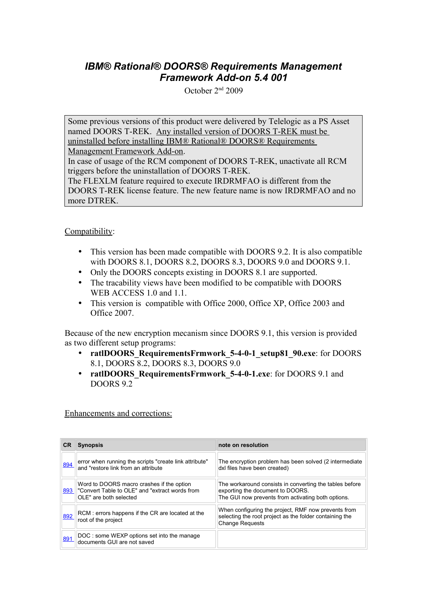## *IBM® Rational® DOORS® Requirements Management Framework Add-on 5.4 001*

October 2nd 2009

Some previous versions of this product were delivered by Telelogic as a PS Asset named DOORS T-REK. Any installed version of DOORS T-REK must be uninstalled before installing IBM® Rational® DOORS® Requirements

Management Framework Add-on.

In case of usage of the RCM component of DOORS T-REK, unactivate all RCM triggers before the uninstallation of DOORS T-REK.

The FLEXLM feature required to execute IRDRMFAO is different from the DOORS T-REK license feature. The new feature name is now IRDRMFAO and no more DTREK.

Compatibility:

- This version has been made compatible with DOORS 9.2. It is also compatible with DOORS 8.1, DOORS 8.2, DOORS 8.3, DOORS 9.0 and DOORS 9.1.
- Only the DOORS concepts existing in DOORS 8.1 are supported.
- The tracability views have been modified to be compatible with DOORS WEB ACCESS 1.0 and 1.1.
- This version is compatible with Office 2000, Office XP, Office 2003 and Office 2007.

Because of the new encryption mecanism since DOORS 9.1, this version is provided as two different setup programs:

- **ratlDOORS** RequirementsFrmwork 5-4-0-1 setup81 90.exe: for DOORS 8.1, DOORS 8.2, DOORS 8.3, DOORS 9.0
- **ratlDOORS\_RequirementsFrmwork\_5-4-0-1.exe**: for DOORS 9.1 and DOORS 9.2

Enhancements and corrections:

| <b>CR</b> | <b>Synopsis</b>                                                                                                              | note on resolution                                                                                                                                |
|-----------|------------------------------------------------------------------------------------------------------------------------------|---------------------------------------------------------------------------------------------------------------------------------------------------|
| 894       | error when running the scripts "create link attribute"<br>and "restore link from an attribute                                | The encryption problem has been solved (2 intermediate<br>dxl files have been created)                                                            |
|           | Word to DOORS macro crashes if the option<br>893    "Convert Table to OLE" and "extract words from<br>OLE" are both selected | The workaround consists in converting the tables before<br>exporting the document to DOORS.<br>The GUI now prevents from activating both options. |
| 892       | RCM: errors happens if the CR are located at the<br>root of the project                                                      | When configuring the project, RMF now prevents from<br>selecting the root project as the folder containing the<br><b>Change Requests</b>          |
| 891       | DOC: some WEXP options set into the manage<br>documents GUI are not saved                                                    |                                                                                                                                                   |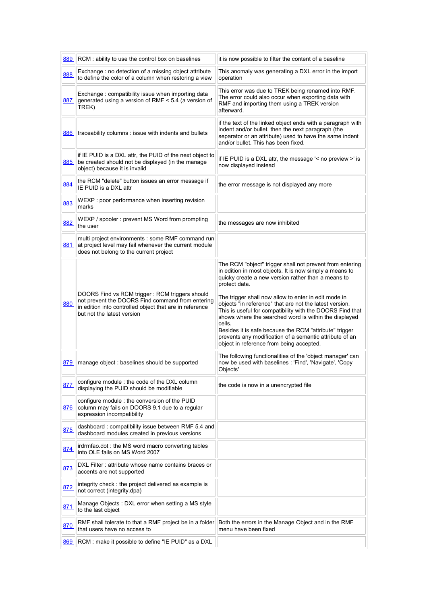|     | 889 RCM : ability to use the control box on baselines                                                                                                                                       | it is now possible to filter the content of a baseline                                                                                                                                                                                                                                                                                                                                                                                                                                                                                                                                                         |
|-----|---------------------------------------------------------------------------------------------------------------------------------------------------------------------------------------------|----------------------------------------------------------------------------------------------------------------------------------------------------------------------------------------------------------------------------------------------------------------------------------------------------------------------------------------------------------------------------------------------------------------------------------------------------------------------------------------------------------------------------------------------------------------------------------------------------------------|
| 888 | Exchange : no detection of a missing object attribute<br>to define the color of a column when restoring a view                                                                              | This anomaly was generating a DXL error in the import<br>operation                                                                                                                                                                                                                                                                                                                                                                                                                                                                                                                                             |
| 887 | Exchange: compatibility issue when importing data<br>generated using a version of RMF < 5.4 (a version of<br>TREK)                                                                          | This error was due to TREK being renamed into RMF.<br>The error could also occur when exporting data with<br>RMF and importing them using a TREK version<br>afterward.                                                                                                                                                                                                                                                                                                                                                                                                                                         |
|     | 886 traceability columns : issue with indents and bullets                                                                                                                                   | if the text of the linked object ends with a paragraph with<br>indent and/or bullet, then the next paragraph (the<br>separator or an attribute) used to have the same indent<br>and/or bullet. This has been fixed.                                                                                                                                                                                                                                                                                                                                                                                            |
| 885 | if IE PUID is a DXL attr, the PUID of the next object to<br>be created should not be displayed (in the manage<br>object) because it is invalid                                              | if IE PUID is a DXL attr, the message '< no preview >' is<br>now displayed instead                                                                                                                                                                                                                                                                                                                                                                                                                                                                                                                             |
| 884 | the RCM "delete" button issues an error message if<br>IE PUID is a DXL attr                                                                                                                 | the error message is not displayed any more                                                                                                                                                                                                                                                                                                                                                                                                                                                                                                                                                                    |
| 883 | WEXP : poor performance when inserting revision<br>marks                                                                                                                                    |                                                                                                                                                                                                                                                                                                                                                                                                                                                                                                                                                                                                                |
| 882 | WEXP / spooler : prevent MS Word from prompting<br>the user                                                                                                                                 | the messages are now inhibited                                                                                                                                                                                                                                                                                                                                                                                                                                                                                                                                                                                 |
| 881 | multi project environments : some RMF command run<br>at project level may fail whenever the current module<br>does not belong to the current project                                        |                                                                                                                                                                                                                                                                                                                                                                                                                                                                                                                                                                                                                |
| 880 | DOORS Find vs RCM trigger: RCM triggers should<br>not prevent the DOORS Find command from entering<br>in edition into controlled object that are in reference<br>but not the latest version | The RCM "object" trigger shall not prevent from entering<br>in edition in most objects. It is now simply a means to<br>quicky create a new version rather than a means to<br>protect data.<br>The trigger shall now allow to enter in edit mode in<br>objects "in reference" that are not the latest version.<br>This is useful for compatibility with the DOORS Find that<br>shows where the searched word is within the displayed<br>cells.<br>Besides it is safe because the RCM "attribute" trigger<br>prevents any modification of a semantic attribute of an<br>object in reference from being accepted. |
|     | 879 manage object : baselines should be supported                                                                                                                                           | The following functionalities of the 'object manager' can<br>now be used with baselines : 'Find', 'Navigate', 'Copy<br>Objects'                                                                                                                                                                                                                                                                                                                                                                                                                                                                                |
| 877 | configure module : the code of the DXL column<br>displaying the PUID should be modifiable                                                                                                   | the code is now in a unencrypted file                                                                                                                                                                                                                                                                                                                                                                                                                                                                                                                                                                          |
| 876 | configure module : the conversion of the PUID<br>column may fails on DOORS 9.1 due to a regular<br>expression incompatibility                                                               |                                                                                                                                                                                                                                                                                                                                                                                                                                                                                                                                                                                                                |
| 875 | dashboard: compatibility issue between RMF 5.4 and<br>dashboard modules created in previous versions                                                                                        |                                                                                                                                                                                                                                                                                                                                                                                                                                                                                                                                                                                                                |
| 874 | irdrmfao.dot: the MS word macro converting tables<br>into OLE fails on MS Word 2007                                                                                                         |                                                                                                                                                                                                                                                                                                                                                                                                                                                                                                                                                                                                                |
| 873 | DXL Filter: attribute whose name contains braces or<br>accents are not supported                                                                                                            |                                                                                                                                                                                                                                                                                                                                                                                                                                                                                                                                                                                                                |
| 872 | integrity check: the project delivered as example is<br>not correct (integrity.dpa)                                                                                                         |                                                                                                                                                                                                                                                                                                                                                                                                                                                                                                                                                                                                                |
| 871 | Manage Objects: DXL error when setting a MS style<br>to the last object                                                                                                                     |                                                                                                                                                                                                                                                                                                                                                                                                                                                                                                                                                                                                                |
| 870 | RMF shall tolerate to that a RMF project be in a folder<br>that users have no access to                                                                                                     | Both the errors in the Manage Object and in the RMF<br>menu have been fixed                                                                                                                                                                                                                                                                                                                                                                                                                                                                                                                                    |
| 869 | RCM : make it possible to define "IE PUID" as a DXL                                                                                                                                         |                                                                                                                                                                                                                                                                                                                                                                                                                                                                                                                                                                                                                |